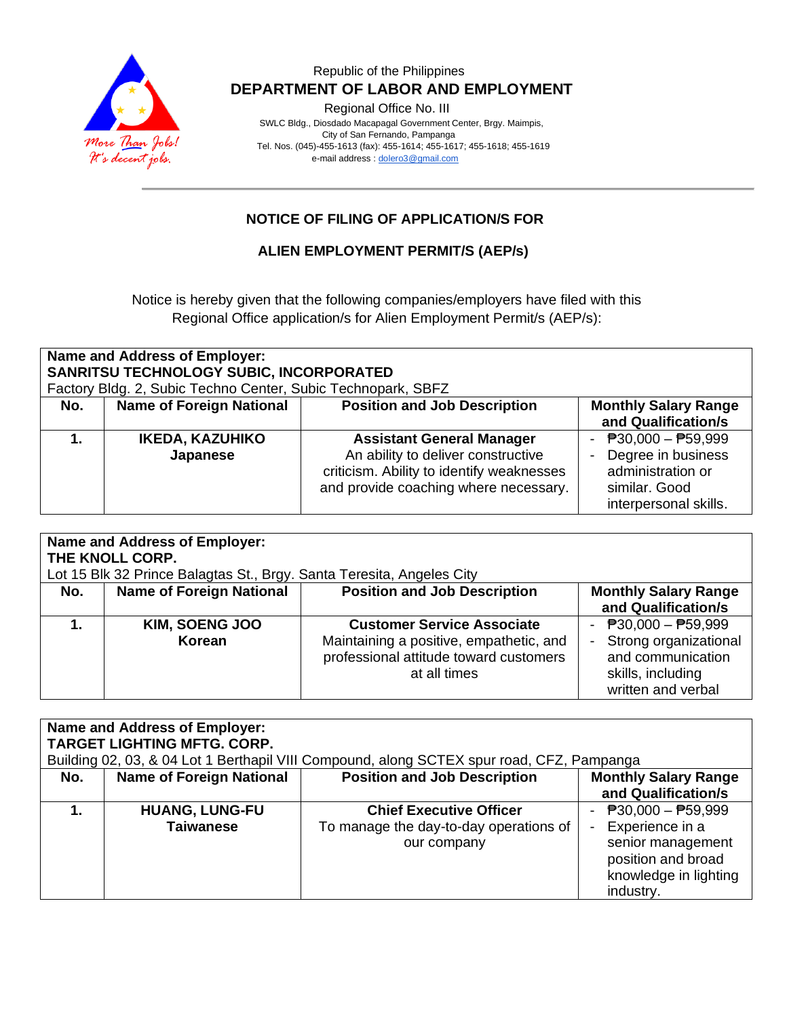

Regional Office No. III

 SWLC Bldg., Diosdado Macapagal Government Center, Brgy. Maimpis, City of San Fernando, Pampanga Tel. Nos. (045)-455-1613 (fax): 455-1614; 455-1617; 455-1618; 455-1619 e-mail address [: dolero3@gmail.com](mailto:dolero3@gmail.com)

## **NOTICE OF FILING OF APPLICATION/S FOR**

#### **ALIEN EMPLOYMENT PERMIT/S (AEP/s)**

Notice is hereby given that the following companies/employers have filed with this Regional Office application/s for Alien Employment Permit/s (AEP/s):

| Name and Address of Employer:<br>SANRITSU TECHNOLOGY SUBIC, INCORPORATED<br>Factory Bldg. 2, Subic Techno Center, Subic Technopark, SBFZ |                                 |                                           |                             |  |
|------------------------------------------------------------------------------------------------------------------------------------------|---------------------------------|-------------------------------------------|-----------------------------|--|
| No.                                                                                                                                      | <b>Name of Foreign National</b> | <b>Position and Job Description</b>       | <b>Monthly Salary Range</b> |  |
|                                                                                                                                          |                                 |                                           | and Qualification/s         |  |
|                                                                                                                                          | <b>IKEDA, KAZUHIKO</b>          | <b>Assistant General Manager</b>          | - $P30,000 - P59,999$       |  |
|                                                                                                                                          | Japanese                        | An ability to deliver constructive        | Degree in business          |  |
|                                                                                                                                          |                                 | criticism. Ability to identify weaknesses | administration or           |  |
|                                                                                                                                          |                                 | and provide coaching where necessary.     | similar. Good               |  |
|                                                                                                                                          |                                 |                                           | interpersonal skills.       |  |

| Name and Address of Employer:<br>THE KNOLL CORP.<br>Lot 15 Blk 32 Prince Balagtas St., Brgy. Santa Teresita, Angeles City           |                                 |                                                                                                                                        |                                                                                                                  |  |
|-------------------------------------------------------------------------------------------------------------------------------------|---------------------------------|----------------------------------------------------------------------------------------------------------------------------------------|------------------------------------------------------------------------------------------------------------------|--|
| <b>Position and Job Description</b><br><b>Name of Foreign National</b><br><b>Monthly Salary Range</b><br>No.<br>and Qualification/s |                                 |                                                                                                                                        |                                                                                                                  |  |
|                                                                                                                                     | <b>KIM, SOENG JOO</b><br>Korean | <b>Customer Service Associate</b><br>Maintaining a positive, empathetic, and<br>professional attitude toward customers<br>at all times | - $P30,000 - P59,999$<br>- Strong organizational<br>and communication<br>skills, including<br>written and verbal |  |

|     | Name and Address of Employer:      |                                                                                           |                                           |  |  |  |
|-----|------------------------------------|-------------------------------------------------------------------------------------------|-------------------------------------------|--|--|--|
|     | <b>TARGET LIGHTING MFTG. CORP.</b> |                                                                                           |                                           |  |  |  |
|     |                                    | Building 02, 03, & 04 Lot 1 Berthapil VIII Compound, along SCTEX spur road, CFZ, Pampanga |                                           |  |  |  |
| No. | <b>Monthly Salary Range</b>        |                                                                                           |                                           |  |  |  |
|     |                                    |                                                                                           | and Qualification/s                       |  |  |  |
|     | <b>HUANG, LUNG-FU</b>              | <b>Chief Executive Officer</b>                                                            | $\overline{P}30,000 - \overline{P}59,999$ |  |  |  |
|     | <b>Taiwanese</b>                   | To manage the day-to-day operations of                                                    | Experience in a                           |  |  |  |
|     |                                    | our company                                                                               | senior management                         |  |  |  |
|     |                                    |                                                                                           | position and broad                        |  |  |  |
|     |                                    |                                                                                           | knowledge in lighting                     |  |  |  |
|     |                                    |                                                                                           | industry.                                 |  |  |  |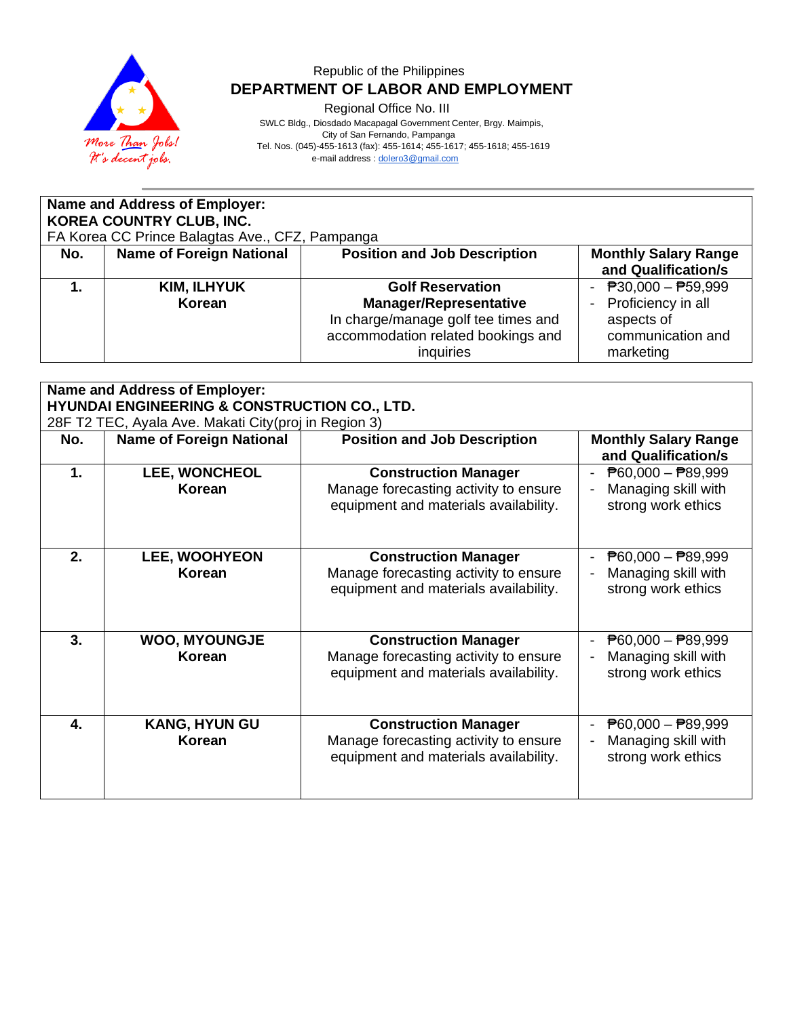

Regional Office No. III

 SWLC Bldg., Diosdado Macapagal Government Center, Brgy. Maimpis, City of San Fernando, Pampanga

Tel. Nos. (045)-455-1613 (fax): 455-1614; 455-1617; 455-1618; 455-1619

e-mail address [: dolero3@gmail.com](mailto:dolero3@gmail.com)

| <b>Name and Address of Employer:</b><br><b>KOREA COUNTRY CLUB, INC.</b><br>FA Korea CC Prince Balagtas Ave., CFZ, Pampanga |                                                                                                                              |                                                                                                                                                    |                                                                                             |  |  |  |
|----------------------------------------------------------------------------------------------------------------------------|------------------------------------------------------------------------------------------------------------------------------|----------------------------------------------------------------------------------------------------------------------------------------------------|---------------------------------------------------------------------------------------------|--|--|--|
| No.                                                                                                                        | <b>Name of Foreign National</b><br><b>Position and Job Description</b><br><b>Monthly Salary Range</b><br>and Qualification/s |                                                                                                                                                    |                                                                                             |  |  |  |
|                                                                                                                            | <b>KIM, ILHYUK</b><br>Korean                                                                                                 | <b>Golf Reservation</b><br><b>Manager/Representative</b><br>In charge/manage golf tee times and<br>accommodation related bookings and<br>inquiries | - $P30,000 - P59,999$<br>Proficiency in all<br>aspects of<br>communication and<br>marketing |  |  |  |

|     | Name and Address of Employer:<br><b>HYUNDAI ENGINEERING &amp; CONSTRUCTION CO., LTD.</b> |                                                                                                               |                                                                                        |  |  |
|-----|------------------------------------------------------------------------------------------|---------------------------------------------------------------------------------------------------------------|----------------------------------------------------------------------------------------|--|--|
|     | 28F T2 TEC, Ayala Ave. Makati City (proj in Region 3)                                    |                                                                                                               |                                                                                        |  |  |
| No. | <b>Name of Foreign National</b>                                                          | <b>Position and Job Description</b>                                                                           | <b>Monthly Salary Range</b><br>and Qualification/s                                     |  |  |
| 1.  | LEE, WONCHEOL<br>Korean                                                                  | <b>Construction Manager</b><br>Manage forecasting activity to ensure<br>equipment and materials availability. | $\overline{P}60,000 - \overline{P}89,999$<br>Managing skill with<br>strong work ethics |  |  |
| 2.  | <b>LEE, WOOHYEON</b><br>Korean                                                           | <b>Construction Manager</b><br>Manage forecasting activity to ensure<br>equipment and materials availability. | $\overline{P}60,000 - \overline{P}89,999$<br>Managing skill with<br>strong work ethics |  |  |
| 3.  | <b>WOO, MYOUNGJE</b><br>Korean                                                           | <b>Construction Manager</b><br>Manage forecasting activity to ensure<br>equipment and materials availability. | $\overline{P}60,000 - \overline{P}89,999$<br>Managing skill with<br>strong work ethics |  |  |
| 4.  | <b>KANG, HYUN GU</b><br>Korean                                                           | <b>Construction Manager</b><br>Manage forecasting activity to ensure<br>equipment and materials availability. | $\overline{P}60,000 - \overline{P}89,999$<br>Managing skill with<br>strong work ethics |  |  |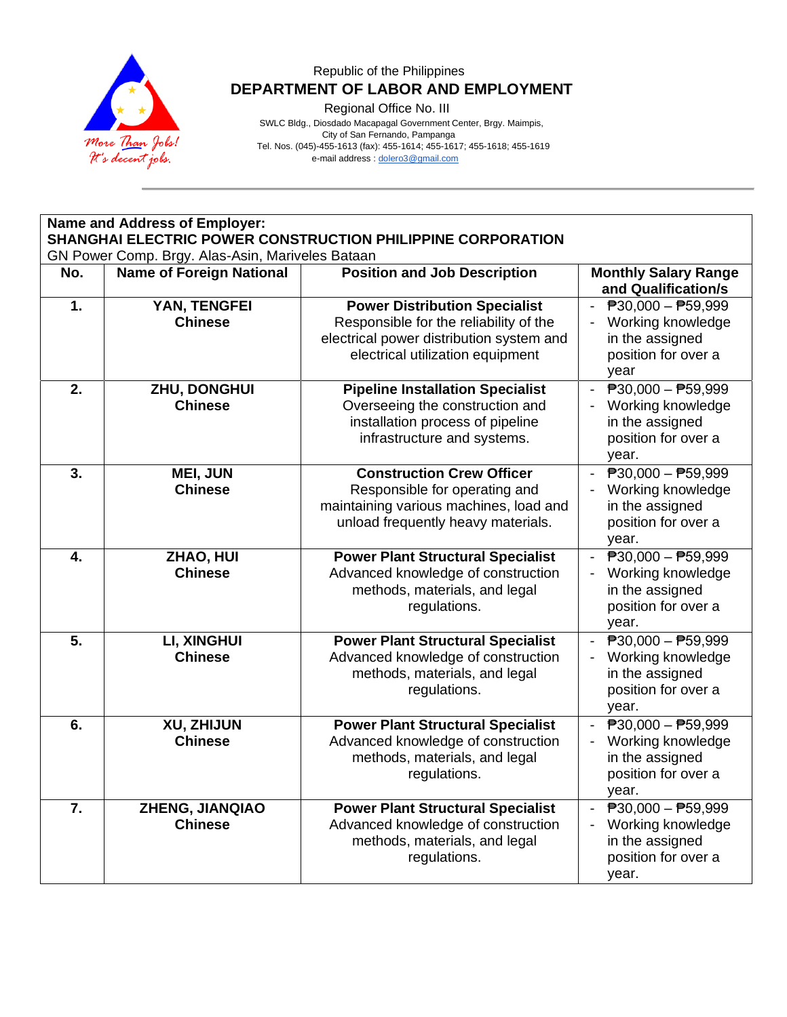

Regional Office No. III

|                                                                                                                 | Name and Address of Employer:            |                                                                                                                                                   |                                                                                                                                     |  |  |
|-----------------------------------------------------------------------------------------------------------------|------------------------------------------|---------------------------------------------------------------------------------------------------------------------------------------------------|-------------------------------------------------------------------------------------------------------------------------------------|--|--|
| SHANGHAI ELECTRIC POWER CONSTRUCTION PHILIPPINE CORPORATION<br>GN Power Comp. Brgy. Alas-Asin, Mariveles Bataan |                                          |                                                                                                                                                   |                                                                                                                                     |  |  |
| No.                                                                                                             | <b>Name of Foreign National</b>          | <b>Position and Job Description</b>                                                                                                               | <b>Monthly Salary Range</b><br>and Qualification/s                                                                                  |  |  |
| 1.                                                                                                              | YAN, TENGFEI                             | <b>Power Distribution Specialist</b>                                                                                                              | $\overline{P}30,000 - \overline{P}59,999$                                                                                           |  |  |
|                                                                                                                 | <b>Chinese</b>                           | Responsible for the reliability of the<br>electrical power distribution system and<br>electrical utilization equipment                            | Working knowledge<br>in the assigned<br>position for over a<br>year                                                                 |  |  |
| 2.                                                                                                              | ZHU, DONGHUI<br><b>Chinese</b>           | <b>Pipeline Installation Specialist</b><br>Overseeing the construction and<br>installation process of pipeline<br>infrastructure and systems.     | $\overline{P}30,000 - \overline{P}59,999$<br>$\blacksquare$<br>Working knowledge<br>in the assigned<br>position for over a<br>year. |  |  |
| 3.                                                                                                              | <b>MEI, JUN</b><br><b>Chinese</b>        | <b>Construction Crew Officer</b><br>Responsible for operating and<br>maintaining various machines, load and<br>unload frequently heavy materials. | $\overline{P}30,000 - \overline{P}59,999$<br>Working knowledge<br>in the assigned<br>position for over a<br>year.                   |  |  |
| 4.                                                                                                              | ZHAO, HUI<br><b>Chinese</b>              | <b>Power Plant Structural Specialist</b><br>Advanced knowledge of construction<br>methods, materials, and legal<br>regulations.                   | $\overline{P}30,000 - \overline{P}59,999$<br>$\sim$<br>Working knowledge<br>in the assigned<br>position for over a<br>year.         |  |  |
| 5.                                                                                                              | LI, XINGHUI<br><b>Chinese</b>            | <b>Power Plant Structural Specialist</b><br>Advanced knowledge of construction<br>methods, materials, and legal<br>regulations.                   | $\overline{P}30,000 - \overline{P}59,999$<br>Working knowledge<br>in the assigned<br>position for over a<br>year.                   |  |  |
| 6.                                                                                                              | XU, ZHIJUN<br><b>Chinese</b>             | <b>Power Plant Structural Specialist</b><br>Advanced knowledge of construction<br>methods, materials, and legal<br>regulations.                   | $\overline{P}30,000 - \overline{P}59,999$<br>Working knowledge<br>in the assigned<br>position for over a<br>year.                   |  |  |
| 7.                                                                                                              | <b>ZHENG, JIANQIAO</b><br><b>Chinese</b> | <b>Power Plant Structural Specialist</b><br>Advanced knowledge of construction<br>methods, materials, and legal<br>regulations.                   | ₱30,000 - ₱59,999<br>Working knowledge<br>in the assigned<br>position for over a<br>year.                                           |  |  |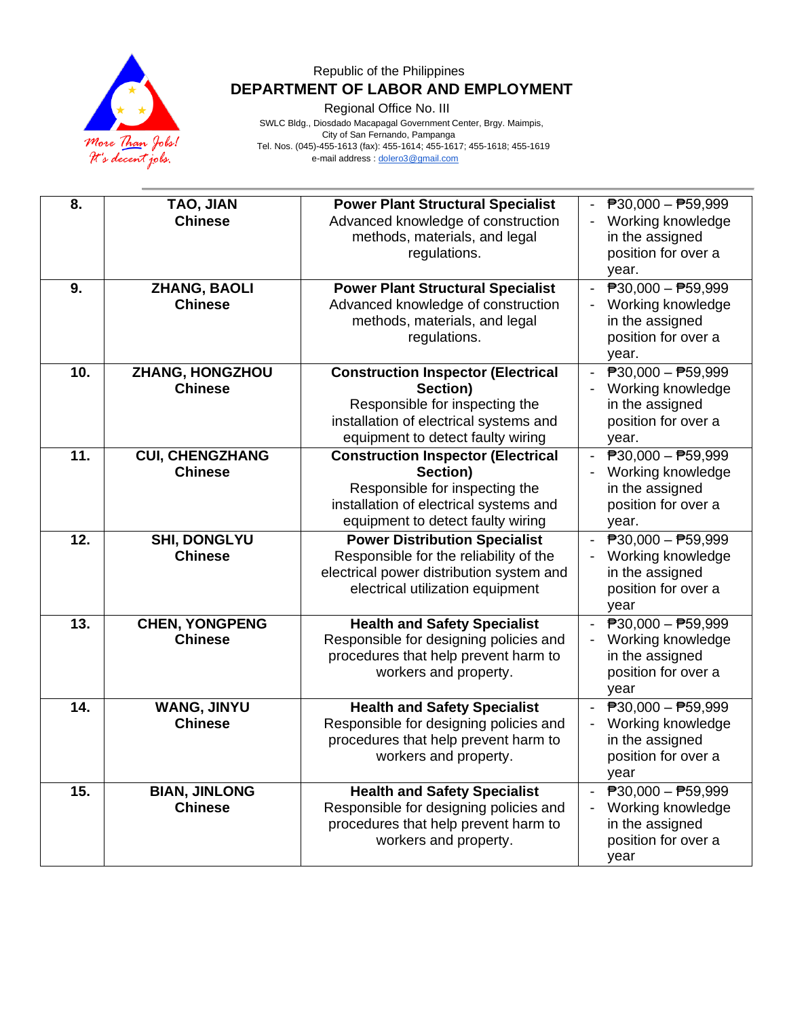

Regional Office No. III

| 8.  | TAO, JIAN<br><b>Chinese</b>              | <b>Power Plant Structural Specialist</b><br>Advanced knowledge of construction<br>methods, materials, and legal<br>regulations.                                        | $\overline{P}30,000 - \overline{P}59,999$<br>Working knowledge<br>in the assigned<br>position for over a<br>year. |
|-----|------------------------------------------|------------------------------------------------------------------------------------------------------------------------------------------------------------------------|-------------------------------------------------------------------------------------------------------------------|
| 9.  | <b>ZHANG, BAOLI</b><br><b>Chinese</b>    | <b>Power Plant Structural Specialist</b><br>Advanced knowledge of construction<br>methods, materials, and legal<br>regulations.                                        | $\overline{P}30,000 - P59,999$<br>Working knowledge<br>in the assigned<br>position for over a<br>year.            |
| 10. | ZHANG, HONGZHOU<br><b>Chinese</b>        | <b>Construction Inspector (Electrical</b><br>Section)<br>Responsible for inspecting the<br>installation of electrical systems and<br>equipment to detect faulty wiring | $\overline{P}30,000 - \overline{P}59,999$<br>Working knowledge<br>in the assigned<br>position for over a<br>year. |
| 11. | <b>CUI, CHENGZHANG</b><br><b>Chinese</b> | <b>Construction Inspector (Electrical</b><br>Section)<br>Responsible for inspecting the<br>installation of electrical systems and<br>equipment to detect faulty wiring | $\overline{P}30,000 - \overline{P}59,999$<br>Working knowledge<br>in the assigned<br>position for over a<br>year. |
| 12. | <b>SHI, DONGLYU</b><br><b>Chinese</b>    | <b>Power Distribution Specialist</b><br>Responsible for the reliability of the<br>electrical power distribution system and<br>electrical utilization equipment         | $\overline{P}30,000 - \overline{P}59,999$<br>Working knowledge<br>in the assigned<br>position for over a<br>year  |
| 13. | <b>CHEN, YONGPENG</b><br><b>Chinese</b>  | <b>Health and Safety Specialist</b><br>Responsible for designing policies and<br>procedures that help prevent harm to<br>workers and property.                         | $\overline{P}30,000 - \overline{P}59,999$<br>Working knowledge<br>in the assigned<br>position for over a<br>year  |
| 14. | <b>WANG, JINYU</b><br><b>Chinese</b>     | <b>Health and Safety Specialist</b><br>Responsible for designing policies and<br>procedures that help prevent harm to<br>workers and property.                         | $\overline{P}30,000 - \overline{P}59,999$<br>Working knowledge<br>in the assigned<br>position for over a<br>year  |
| 15. | <b>BIAN, JINLONG</b><br><b>Chinese</b>   | <b>Health and Safety Specialist</b><br>Responsible for designing policies and<br>procedures that help prevent harm to<br>workers and property.                         | $\overline{P}30,000 - \overline{P}59,999$<br>Working knowledge<br>in the assigned<br>position for over a<br>year  |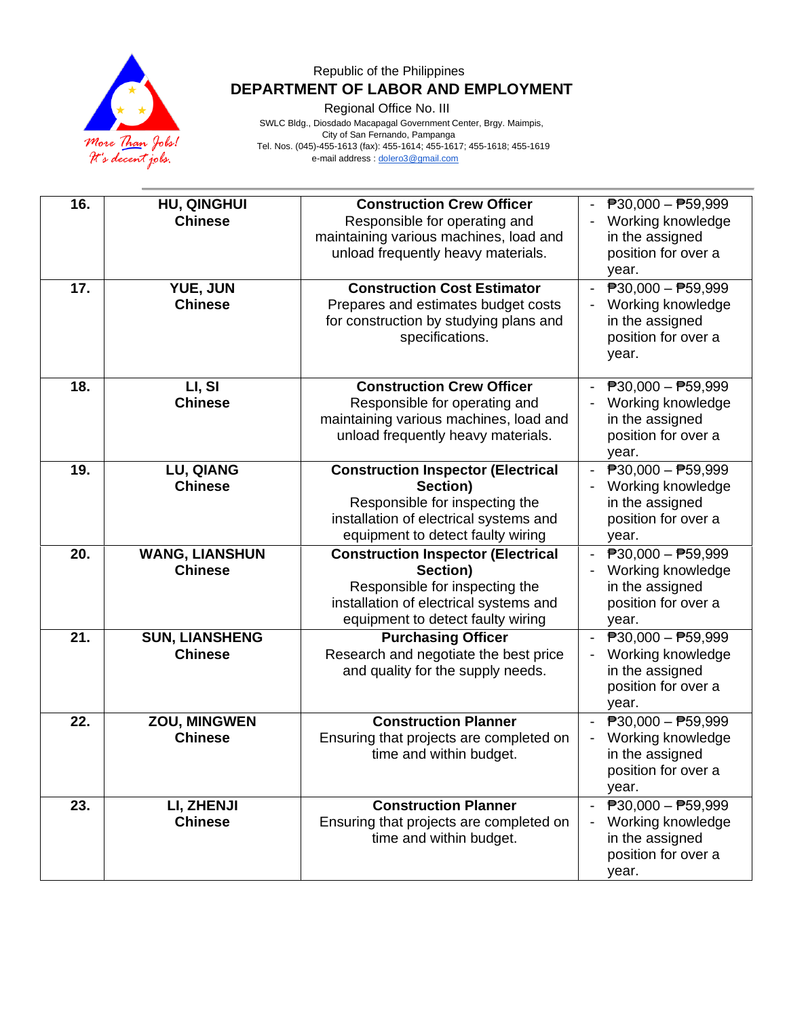

Regional Office No. III

| 16. | <b>HU, QINGHUI</b><br><b>Chinese</b>    | <b>Construction Crew Officer</b><br>Responsible for operating and<br>maintaining various machines, load and<br>unload frequently heavy materials.                      | $\overline{P}30,000 - \overline{P}59,999$<br>Working knowledge<br>in the assigned<br>position for over a<br>year. |
|-----|-----------------------------------------|------------------------------------------------------------------------------------------------------------------------------------------------------------------------|-------------------------------------------------------------------------------------------------------------------|
| 17. | YUE, JUN<br><b>Chinese</b>              | <b>Construction Cost Estimator</b><br>Prepares and estimates budget costs<br>for construction by studying plans and<br>specifications.                                 | $\overline{P}30,000 - \overline{P}59,999$<br>Working knowledge<br>in the assigned<br>position for over a<br>year. |
| 18. | LI, SI<br><b>Chinese</b>                | <b>Construction Crew Officer</b><br>Responsible for operating and<br>maintaining various machines, load and<br>unload frequently heavy materials.                      | $\overline{P}30,000 - \overline{P}59,999$<br>Working knowledge<br>in the assigned<br>position for over a<br>year. |
| 19. | <b>LU, QIANG</b><br><b>Chinese</b>      | <b>Construction Inspector (Electrical</b><br>Section)<br>Responsible for inspecting the<br>installation of electrical systems and<br>equipment to detect faulty wiring | $\overline{P}30,000 - \overline{P}59,999$<br>Working knowledge<br>in the assigned<br>position for over a<br>year. |
| 20. | <b>WANG, LIANSHUN</b><br><b>Chinese</b> | <b>Construction Inspector (Electrical</b><br>Section)<br>Responsible for inspecting the<br>installation of electrical systems and<br>equipment to detect faulty wiring | $\overline{P}30,000 - \overline{P}59,999$<br>Working knowledge<br>in the assigned<br>position for over a<br>year. |
| 21. | <b>SUN, LIANSHENG</b><br><b>Chinese</b> | <b>Purchasing Officer</b><br>Research and negotiate the best price<br>and quality for the supply needs.                                                                | $\overline{P}30,000 - \overline{P}59,999$<br>Working knowledge<br>in the assigned<br>position for over a<br>year. |
| 22. | ZOU, MINGWEN<br><b>Chinese</b>          | <b>Construction Planner</b><br>Ensuring that projects are completed on<br>time and within budget.                                                                      | $\overline{P}30,000 - \overline{P}59,999$<br>Working knowledge<br>in the assigned<br>position for over a<br>year. |
| 23. | LI, ZHENJI<br><b>Chinese</b>            | <b>Construction Planner</b><br>Ensuring that projects are completed on<br>time and within budget.                                                                      | $P30,000 - P59,999$<br>Working knowledge<br>in the assigned<br>position for over a<br>year.                       |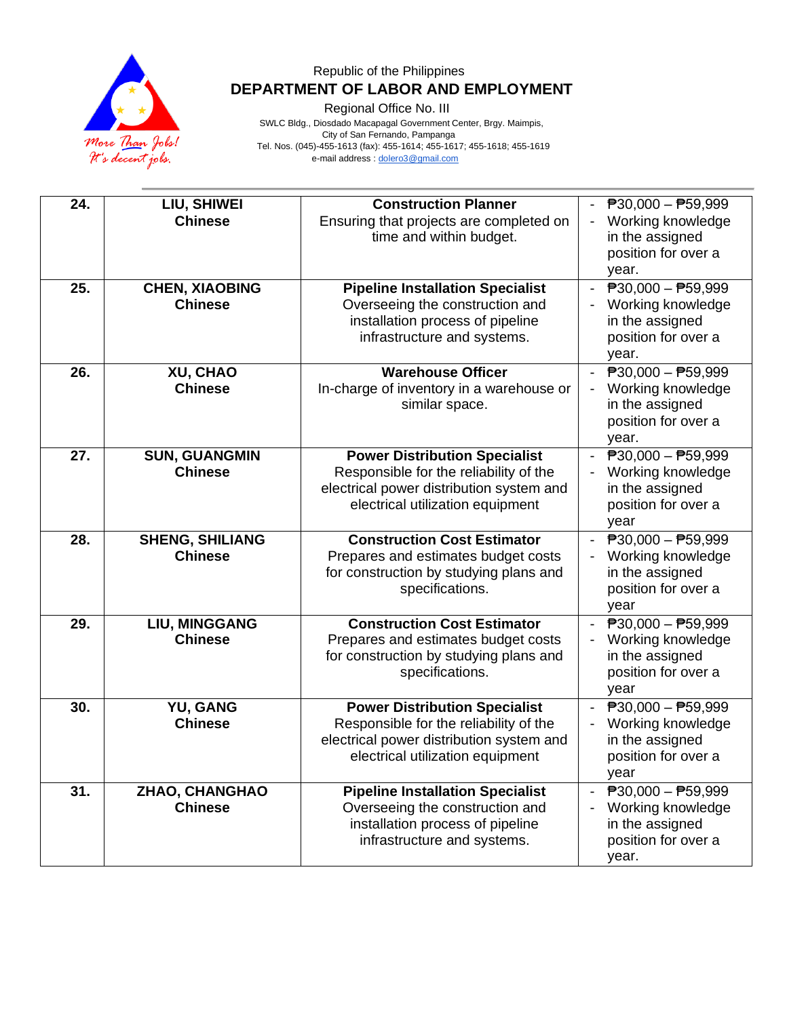

Regional Office No. III

| 24. | LIU, SHIWEI                      | <b>Construction Planner</b>                                                                                                                                    | $\overline{P}30,000 - \overline{P}59,999$                                                                         |
|-----|----------------------------------|----------------------------------------------------------------------------------------------------------------------------------------------------------------|-------------------------------------------------------------------------------------------------------------------|
|     | <b>Chinese</b>                   | Ensuring that projects are completed on<br>time and within budget.                                                                                             | Working knowledge<br>in the assigned<br>position for over a<br>year.                                              |
| 25. | <b>CHEN, XIAOBING</b>            | <b>Pipeline Installation Specialist</b>                                                                                                                        | $\overline{P}30,000 - \overline{P}59,999$                                                                         |
|     | <b>Chinese</b>                   | Overseeing the construction and<br>installation process of pipeline<br>infrastructure and systems.                                                             | Working knowledge<br>in the assigned<br>position for over a<br>year.                                              |
| 26. | XU, CHAO                         | <b>Warehouse Officer</b>                                                                                                                                       | $\overline{P}30,000 - \overline{P}59,999$                                                                         |
|     | <b>Chinese</b>                   | In-charge of inventory in a warehouse or<br>similar space.                                                                                                     | Working knowledge<br>in the assigned<br>position for over a<br>year.                                              |
| 27. | <b>SUN, GUANGMIN</b>             | <b>Power Distribution Specialist</b>                                                                                                                           | $\overline{P}30,000 - \overline{P}59,999$                                                                         |
|     | <b>Chinese</b>                   | Responsible for the reliability of the<br>electrical power distribution system and<br>electrical utilization equipment                                         | Working knowledge<br>in the assigned<br>position for over a<br>year                                               |
| 28. | <b>SHENG, SHILIANG</b>           | <b>Construction Cost Estimator</b>                                                                                                                             | $\overline{P}30,000 - \overline{P}59,999$                                                                         |
|     | <b>Chinese</b>                   | Prepares and estimates budget costs<br>for construction by studying plans and<br>specifications.                                                               | Working knowledge<br>in the assigned<br>position for over a<br>year                                               |
| 29. | <b>LIU, MINGGANG</b>             | <b>Construction Cost Estimator</b>                                                                                                                             | $\overline{P}30,000 - \overline{P}59,999$                                                                         |
|     | <b>Chinese</b>                   | Prepares and estimates budget costs<br>for construction by studying plans and<br>specifications.                                                               | Working knowledge<br>in the assigned<br>position for over a<br>year                                               |
| 30. | YU, GANG<br><b>Chinese</b>       | <b>Power Distribution Specialist</b><br>Responsible for the reliability of the<br>electrical power distribution system and<br>electrical utilization equipment | $\overline{P}30,000 - \overline{P}59,999$<br>Working knowledge<br>in the assigned<br>position for over a<br>year  |
| 31. | ZHAO, CHANGHAO<br><b>Chinese</b> | <b>Pipeline Installation Specialist</b><br>Overseeing the construction and<br>installation process of pipeline<br>infrastructure and systems.                  | $\overline{P}30,000 - \overline{P}59,999$<br>Working knowledge<br>in the assigned<br>position for over a<br>year. |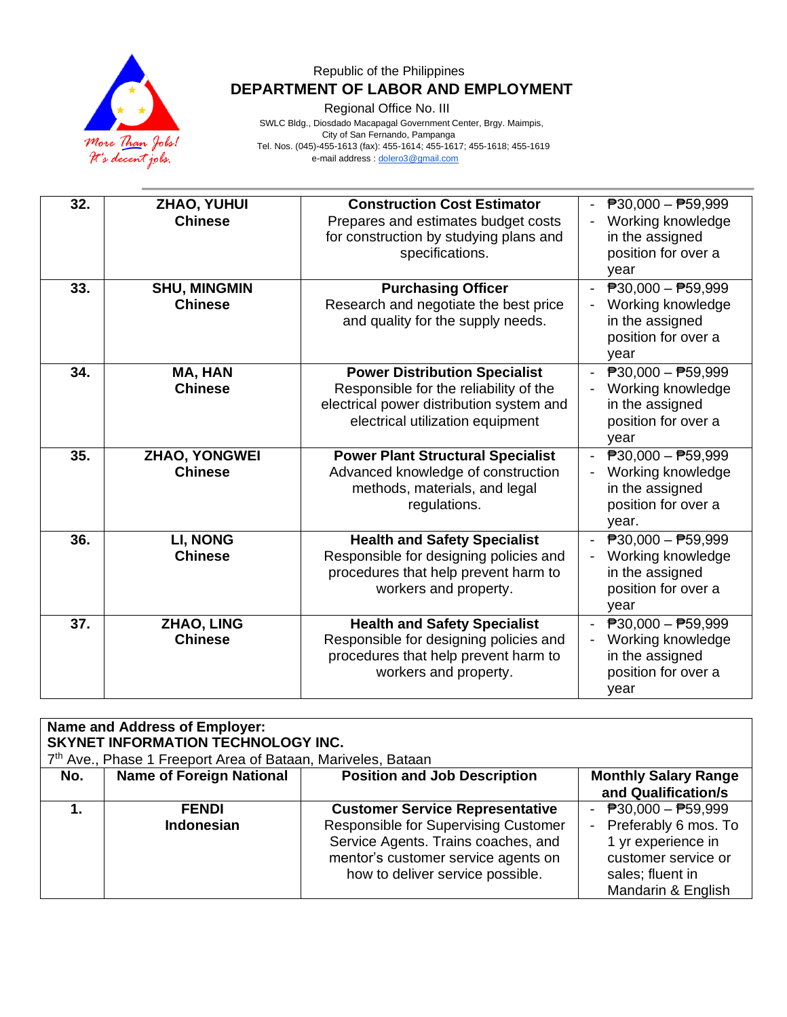

Regional Office No. III

| 32. | ZHAO, YUHUI<br><b>Chinese</b>          | <b>Construction Cost Estimator</b><br>Prepares and estimates budget costs<br>for construction by studying plans and<br>specifications.                         | $\overline{P}30,000 - \overline{P}59,999$<br>Working knowledge<br>in the assigned<br>position for over a<br>year  |
|-----|----------------------------------------|----------------------------------------------------------------------------------------------------------------------------------------------------------------|-------------------------------------------------------------------------------------------------------------------|
| 33. | <b>SHU, MINGMIN</b><br><b>Chinese</b>  | <b>Purchasing Officer</b><br>Research and negotiate the best price<br>and quality for the supply needs.                                                        | - $P30,000 - P59,999$<br>Working knowledge<br>in the assigned<br>position for over a<br>year                      |
| 34. | MA, HAN<br><b>Chinese</b>              | <b>Power Distribution Specialist</b><br>Responsible for the reliability of the<br>electrical power distribution system and<br>electrical utilization equipment | - $P30,000 - P59,999$<br>Working knowledge<br>in the assigned<br>position for over a<br>year                      |
| 35. | <b>ZHAO, YONGWEI</b><br><b>Chinese</b> | <b>Power Plant Structural Specialist</b><br>Advanced knowledge of construction<br>methods, materials, and legal<br>regulations.                                | $\overline{P}30,000 - \overline{P}59,999$<br>Working knowledge<br>in the assigned<br>position for over a<br>year. |
| 36. | <b>LI, NONG</b><br><b>Chinese</b>      | <b>Health and Safety Specialist</b><br>Responsible for designing policies and<br>procedures that help prevent harm to<br>workers and property.                 | $P30,000 - P59,999$<br>Working knowledge<br>in the assigned<br>position for over a<br>year                        |
| 37. | <b>ZHAO, LING</b><br><b>Chinese</b>    | <b>Health and Safety Specialist</b><br>Responsible for designing policies and<br>procedures that help prevent harm to<br>workers and property.                 | - $P30,000 - P59,999$<br>Working knowledge<br>in the assigned<br>position for over a<br>year                      |

| <b>Name and Address of Employer:</b><br>SKYNET INFORMATION TECHNOLOGY INC.<br>7 <sup>th</sup> Ave., Phase 1 Freeport Area of Bataan, Mariveles, Bataan |                                   |                                                                                                                                                                                                  |                                                                                                                                        |  |
|--------------------------------------------------------------------------------------------------------------------------------------------------------|-----------------------------------|--------------------------------------------------------------------------------------------------------------------------------------------------------------------------------------------------|----------------------------------------------------------------------------------------------------------------------------------------|--|
| No.                                                                                                                                                    | <b>Name of Foreign National</b>   | <b>Position and Job Description</b>                                                                                                                                                              | <b>Monthly Salary Range</b><br>and Qualification/s                                                                                     |  |
|                                                                                                                                                        | <b>FENDI</b><br><b>Indonesian</b> | <b>Customer Service Representative</b><br>Responsible for Supervising Customer<br>Service Agents. Trains coaches, and<br>mentor's customer service agents on<br>how to deliver service possible. | - $P30,000 - P59,999$<br>- Preferably 6 mos. To<br>1 yr experience in<br>customer service or<br>sales; fluent in<br>Mandarin & English |  |